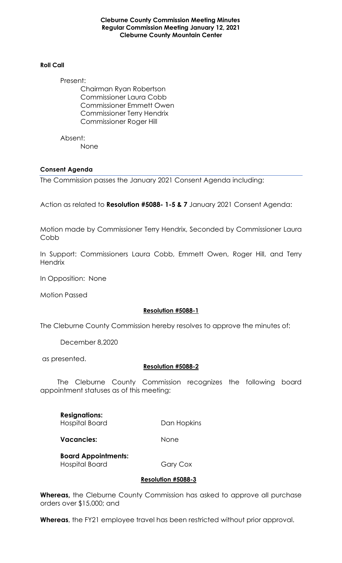**Cleburne County Commission Meeting Minutes Regular Commission Meeting January 12, 2021 Cleburne County Mountain Center**

#### **Roll Call**

Present: Chairman Ryan Robertson Commissioner Laura Cobb Commissioner Emmett Owen Commissioner Terry Hendrix Commissioner Roger Hill

Absent: None

## **Consent Agenda**

The Commission passes the January 2021 Consent Agenda including:

Action as related to **Resolution #5088- 1-5 & 7** January 2021 Consent Agenda:

Motion made by Commissioner Terry Hendrix, Seconded by Commissioner Laura Cobb

In Support: Commissioners Laura Cobb, Emmett Owen, Roger Hill, and Terry **Hendrix** 

In Opposition: None

Motion Passed

# **Resolution #5088-1**

The Cleburne County Commission hereby resolves to approve the minutes of:

December 8,2020

as presented.

# **Resolution #5088-2**

 The Cleburne County Commission recognizes the following board appointment statuses as of this meeting:

**Resignations:**  Hospital Board Dan Hopkins

**Vacancies:** None

**Board Appointments:**  Hospital Board Gary Cox

#### **Resolution #5088-3**

**Whereas,** the Cleburne County Commission has asked to approve all purchase orders over \$15,000; and

**Whereas**, the FY21 employee travel has been restricted without prior approval.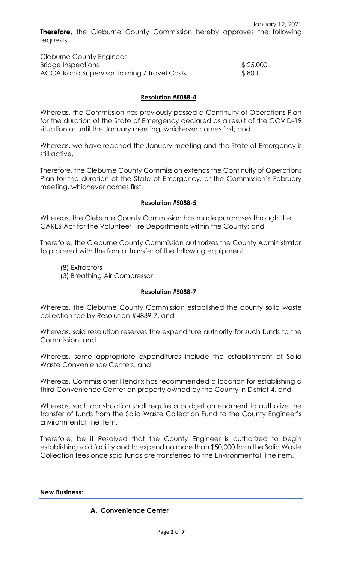January 12, 2021 **Therefore,** the Cleburne County Commission hereby approves the following requests:

Cleburne County Engineer Bridge Inspections  $$ 25,000$ ACCA Road Supervisor Training / Travel Costs \$800

# **Resolution #5088-4**

Whereas, the Commission has previously passed a Continuity of Operations Plan for the duration of the State of Emergency declared as a result of the COVID-19 situation or until the January meeting, whichever comes first; and

Whereas, we have reached the January meeting and the State of Emergency is still active.

Therefore, the Cleburne County Commission extends the Continuity of Operations Plan for the duration of the State of Emergency, or the Commission's February meeting, whichever comes first.

## **Resolution #5088-5**

Whereas, the Cleburne County Commission has made purchases through the CARES Act for the Volunteer Fire Departments within the County; and

Therefore, the Cleburne County Commission authorizes the County Administrator to proceed with the formal transfer of the following equipment:

- (8) Extractors
- (3) Breathing Air Compressor

#### **Resolution #5088-7**

Whereas, the Cleburne County Commission established the county solid waste collection fee by Resolution #4839-7, and

Whereas, said resolution reserves the expenditure authority for such funds to the Commission, and

Whereas, some appropriate expenditures include the establishment of Solid Waste Convenience Centers, and

Whereas, Commissioner Hendrix has recommended a location for establishing a third Convenience Center on property owned by the County in District 4, and

Whereas, such construction shall require a budget amendment to authorize the transfer of funds from the Solid Waste Collection Fund to the County Engineer's Environmental line item.

Therefore, be it Resolved that the County Engineer is authorized to begin establishing said facility and to expend no more than \$50,000 from the Solid Waste Collection fees once said funds are transferred to the Environmental line item.

#### **New Business:**

# **A. Convenience Center**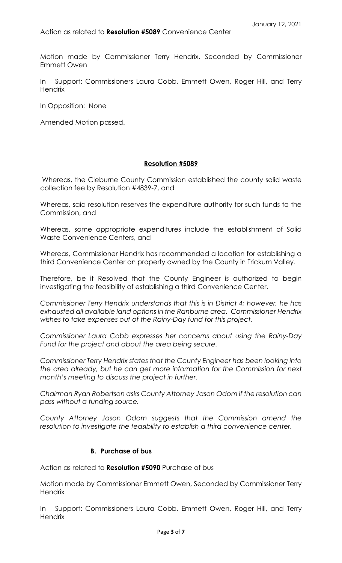Motion made by Commissioner Terry Hendrix, Seconded by Commissioner Emmett Owen

In Support: Commissioners Laura Cobb, Emmett Owen, Roger Hill, and Terry **Hendrix** 

In Opposition: None

Amended Motion passed.

# **Resolution #5089**

Whereas, the Cleburne County Commission established the county solid waste collection fee by Resolution #4839-7, and

Whereas, said resolution reserves the expenditure authority for such funds to the Commission, and

Whereas, some appropriate expenditures include the establishment of Solid Waste Convenience Centers, and

Whereas, Commissioner Hendrix has recommended a location for establishing a third Convenience Center on property owned by the County in Trickum Valley.

Therefore, be it Resolved that the County Engineer is authorized to begin investigating the feasibility of establishing a third Convenience Center.

*Commissioner Terry Hendrix understands that this is in District 4; however, he has exhausted all available land options in the Ranburne area. Commissioner Hendrix wishes to take expenses out of the Rainy-Day fund for this project.*

*Commissioner Laura Cobb expresses her concerns about using the Rainy-Day Fund for the project and about the area being secure.*

*Commissioner Terry Hendrix states that the County Engineer has been looking into the area already, but he can get more information for the Commission for next month's meeting to discuss the project in further.*

*Chairman Ryan Robertson asks County Attorney Jason Odom if the resolution can pass without a funding source.*

*County Attorney Jason Odom suggests that the Commission amend the resolution to investigate the feasibility to establish a third convenience center.*

#### **B. Purchase of bus**

Action as related to **Resolution #5090** Purchase of bus

Motion made by Commissioner Emmett Owen, Seconded by Commissioner Terry **Hendrix** 

In Support: Commissioners Laura Cobb, Emmett Owen, Roger Hill, and Terry **Hendrix**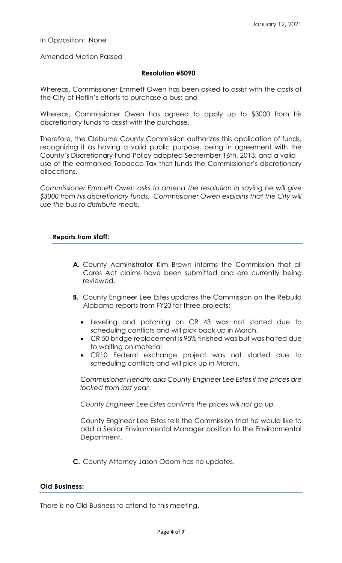In Opposition: None

Amended Motion Passed

## **Resolution #5090**

Whereas, Commissioner Emmett Owen has been asked to assist with the costs of the City of Heflin's efforts to purchase a bus; and

Whereas, Commissioner Owen has agreed to apply up to \$3000 from his discretionary funds to assist with the purchase.

Therefore, the Cleburne County Commission authorizes this application of funds, recognizing it as having a valid public purpose, being in agreement with the County's Discretionary Fund Policy adopted September 16th, 2013, and a valid use of the earmarked Tobacco Tax that funds the Commissioner's discretionary allocations.

*Commissioner Emmett Owen asks to amend the resolution in saying he will give \$3000 from his discretionary funds. Commissioner Owen explains that the City will use the bus to distribute meals.*

## **Reports from staff:**

- **A.** County Administrator Kim Brown informs the Commission that all Cares Act claims have been submitted and are currently being reviewed.
- **B.** County Engineer Lee Estes updates the Commission on the Rebuild Alabama reports from FY20 for three projects:
	- Leveling and patching on CR 43 was not started due to scheduling conflicts and will pick back up in March.
	- CR 50 bridge replacement is 95% finished was but was halted due to waiting on material
	- CR10 Federal exchange project was not started due to scheduling conflicts and will pick up in March.

*Commissioner Hendrix asks County Engineer Lee Estes if the prices are locked from last year.*

*County Engineer Lee Estes confirms the prices will not go up.*

County Engineer Lee Estes tells the Commission that he would like to add a Senior Environmental Manager position to the Environmental Department.

**C.** County Attorney Jason Odom has no updates.

## **Old Business:**

There is no Old Business to attend to this meeting.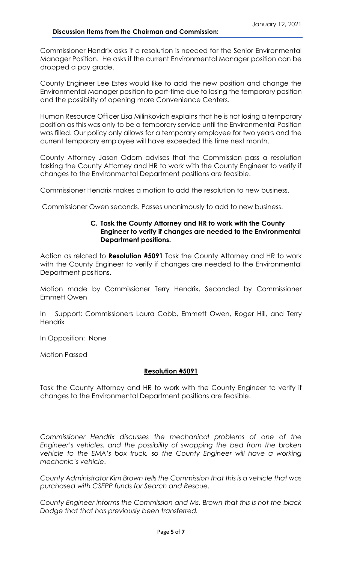#### **Discussion Items from the Chairman and Commission:**

Commissioner Hendrix asks if a resolution is needed for the Senior Environmental Manager Position. He asks if the current Environmental Manager position can be dropped a pay grade.

County Engineer Lee Estes would like to add the new position and change the Environmental Manager position to part-time due to losing the temporary position and the possibility of opening more Convenience Centers.

Human Resource Officer Lisa Milinkovich explains that he is not losing a temporary position as this was only to be a temporary service until the Environmental Position was filled. Our policy only allows for a temporary employee for two years and the current temporary employee will have exceeded this time next month.

County Attorney Jason Odom advises that the Commission pass a resolution tasking the County Attorney and HR to work with the County Engineer to verify if changes to the Environmental Department positions are feasible.

Commissioner Hendrix makes a motion to add the resolution to new business.

Commissioner Owen seconds. Passes unanimously to add to new business.

#### **C. Task the County Attorney and HR to work with the County Engineer to verify if changes are needed to the Environmental Department positions.**

Action as related to **Resolution #5091** Task the County Attorney and HR to work with the County Engineer to verify if changes are needed to the Environmental Department positions.

Motion made by Commissioner Terry Hendrix, Seconded by Commissioner Emmett Owen

In Support: Commissioners Laura Cobb, Emmett Owen, Roger Hill, and Terry **Hendrix** 

In Opposition: None

Motion Passed

# **Resolution #5091**

Task the County Attorney and HR to work with the County Engineer to verify if changes to the Environmental Department positions are feasible.

*Commissioner Hendrix discusses the mechanical problems of one of the Engineer's vehicles, and the possibility of swapping the bed from the broken vehicle to the EMA's box truck, so the County Engineer will have a working mechanic's vehicle*.

*County Administrator Kim Brown tells the Commission that this is a vehicle that was purchased with CSEPP funds for Search and Rescue.*

*County Engineer informs the Commission and Ms. Brown that this is not the black Dodge that that has previously been transferred.*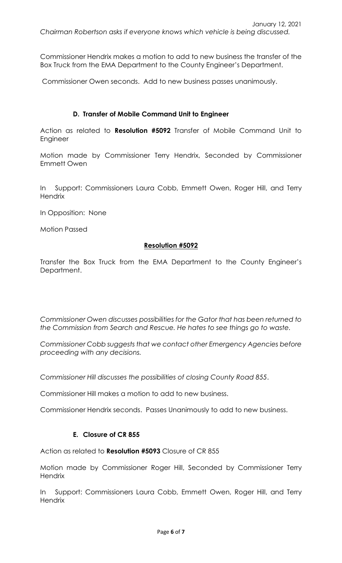Commissioner Hendrix makes a motion to add to new business the transfer of the Box Truck from the EMA Department to the County Engineer's Department.

Commissioner Owen seconds. Add to new business passes unanimously.

# **D. Transfer of Mobile Command Unit to Engineer**

Action as related to **Resolution #5092** Transfer of Mobile Command Unit to Engineer

Motion made by Commissioner Terry Hendrix, Seconded by Commissioner Emmett Owen

In Support: Commissioners Laura Cobb, Emmett Owen, Roger Hill, and Terry **Hendrix** 

In Opposition: None

Motion Passed

# **Resolution #5092**

Transfer the Box Truck from the EMA Department to the County Engineer's Department.

*Commissioner Owen discusses possibilities for the Gator that has been returned to the Commission from Search and Rescue. He hates to see things go to waste.* 

*Commissioner Cobb suggests that we contact other Emergency Agencies before proceeding with any decisions.* 

*Commissioner Hill discusses the possibilities of closing County Road 855*.

Commissioner Hill makes a motion to add to new business.

Commissioner Hendrix seconds. Passes Unanimously to add to new business.

# **E. Closure of CR 855**

Action as related to **Resolution #5093** Closure of CR 855

Motion made by Commissioner Roger Hill, Seconded by Commissioner Terry **Hendrix** 

In Support: Commissioners Laura Cobb, Emmett Owen, Roger Hill, and Terry **Hendrix**